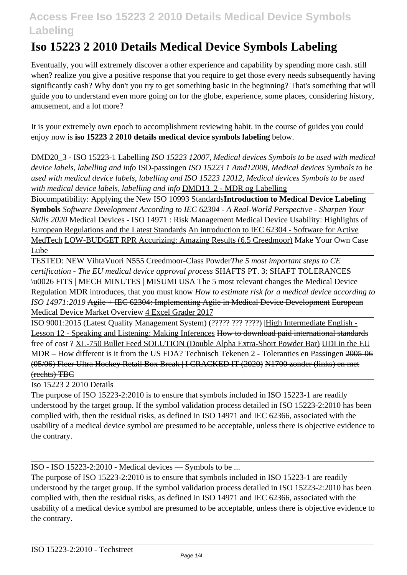# **Iso 15223 2 2010 Details Medical Device Symbols Labeling**

Eventually, you will extremely discover a other experience and capability by spending more cash. still when? realize you give a positive response that you require to get those every needs subsequently having significantly cash? Why don't you try to get something basic in the beginning? That's something that will guide you to understand even more going on for the globe, experience, some places, considering history, amusement, and a lot more?

It is your extremely own epoch to accomplishment reviewing habit. in the course of guides you could enjoy now is **iso 15223 2 2010 details medical device symbols labeling** below.

DMD20\_3 - ISO 15223-1 Labelling *ISO 15223 12007, Medical devices Symbols to be used with medical device labels, labelling and info* ISO-passingen *ISO 15223 1 Amd12008, Medical devices Symbols to be used with medical device labels, labelling and ISO 15223 12012, Medical devices Symbols to be used with medical device labels, labelling and info* DMD13\_2 - MDR og Labelling

Biocompatibility: Applying the New ISO 10993 Standards**Introduction to Medical Device Labeling Symbols** *Software Development According to IEC 62304 - A Real-World Perspective - Sharpen Your Skills 2020* Medical Devices - ISO 14971 : Risk Management Medical Device Usability: Highlights of European Regulations and the Latest Standards An introduction to IEC 62304 - Software for Active MedTech LOW-BUDGET RPR Accurizing: Amazing Results (6.5 Creedmoor) Make Your Own Case Lube

TESTED: NEW VihtaVuori N555 Creedmoor-Class Powder*The 5 most important steps to CE certification - The EU medical device approval process* SHAFTS PT. 3: SHAFT TOLERANCES \u0026 FITS | MECH MINUTES | MISUMI USA The 5 most relevant changes the Medical Device Regulation MDR introduces, that you must know *How to estimate risk for a medical device according to ISO 14971:2019* Agile + IEC 62304: Implementing Agile in Medical Device Development European Medical Device Market Overview 4 Excel Grader 2017

ISO 9001:2015 (Latest Quality Management System) (????? ??? ????) |High Intermediate English - Lesson 12 - Speaking and Listening: Making Inferences How to download paid international standards free of cost ? XL-750 Bullet Feed SOLUTION (Double Alpha Extra-Short Powder Bar) UDI in the EU MDR – How different is it from the US FDA? Technisch Tekenen 2 - Toleranties en Passingen 2005-06 (05/06) Fleer Ultra Hockey Retail Box Break | I CRACKED IT (2020) N1700 zonder (links) en met (rechts) TBC

Iso 15223 2 2010 Details

The purpose of ISO 15223-2:2010 is to ensure that symbols included in ISO 15223-1 are readily understood by the target group. If the symbol validation process detailed in ISO 15223-2:2010 has been complied with, then the residual risks, as defined in ISO 14971 and IEC 62366, associated with the usability of a medical device symbol are presumed to be acceptable, unless there is objective evidence to the contrary.

ISO - ISO 15223-2:2010 - Medical devices — Symbols to be ...

The purpose of ISO 15223-2:2010 is to ensure that symbols included in ISO 15223-1 are readily understood by the target group. If the symbol validation process detailed in ISO 15223-2:2010 has been complied with, then the residual risks, as defined in ISO 14971 and IEC 62366, associated with the usability of a medical device symbol are presumed to be acceptable, unless there is objective evidence to the contrary.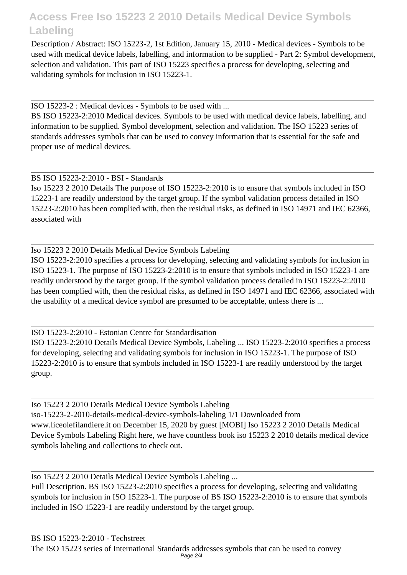Description / Abstract: ISO 15223-2, 1st Edition, January 15, 2010 - Medical devices - Symbols to be used with medical device labels, labelling, and information to be supplied - Part 2: Symbol development, selection and validation. This part of ISO 15223 specifies a process for developing, selecting and validating symbols for inclusion in ISO 15223-1.

ISO 15223-2 : Medical devices - Symbols to be used with ...

BS ISO 15223-2:2010 Medical devices. Symbols to be used with medical device labels, labelling, and information to be supplied. Symbol development, selection and validation. The ISO 15223 series of standards addresses symbols that can be used to convey information that is essential for the safe and proper use of medical devices.

#### BS ISO 15223-2:2010 - BSI - Standards

Iso 15223 2 2010 Details The purpose of ISO 15223-2:2010 is to ensure that symbols included in ISO 15223-1 are readily understood by the target group. If the symbol validation process detailed in ISO 15223-2:2010 has been complied with, then the residual risks, as defined in ISO 14971 and IEC 62366, associated with

Iso 15223 2 2010 Details Medical Device Symbols Labeling ISO 15223-2:2010 specifies a process for developing, selecting and validating symbols for inclusion in ISO 15223-1. The purpose of ISO 15223-2:2010 is to ensure that symbols included in ISO 15223-1 are readily understood by the target group. If the symbol validation process detailed in ISO 15223-2:2010 has been complied with, then the residual risks, as defined in ISO 14971 and IEC 62366, associated with the usability of a medical device symbol are presumed to be acceptable, unless there is ...

ISO 15223-2:2010 - Estonian Centre for Standardisation ISO 15223-2:2010 Details Medical Device Symbols, Labeling ... ISO 15223-2:2010 specifies a process for developing, selecting and validating symbols for inclusion in ISO 15223-1. The purpose of ISO 15223-2:2010 is to ensure that symbols included in ISO 15223-1 are readily understood by the target group.

Iso 15223 2 2010 Details Medical Device Symbols Labeling iso-15223-2-2010-details-medical-device-symbols-labeling 1/1 Downloaded from www.liceolefilandiere.it on December 15, 2020 by guest [MOBI] Iso 15223 2 2010 Details Medical Device Symbols Labeling Right here, we have countless book iso 15223 2 2010 details medical device symbols labeling and collections to check out.

Iso 15223 2 2010 Details Medical Device Symbols Labeling ...

Full Description. BS ISO 15223-2:2010 specifies a process for developing, selecting and validating symbols for inclusion in ISO 15223-1. The purpose of BS ISO 15223-2:2010 is to ensure that symbols included in ISO 15223-1 are readily understood by the target group.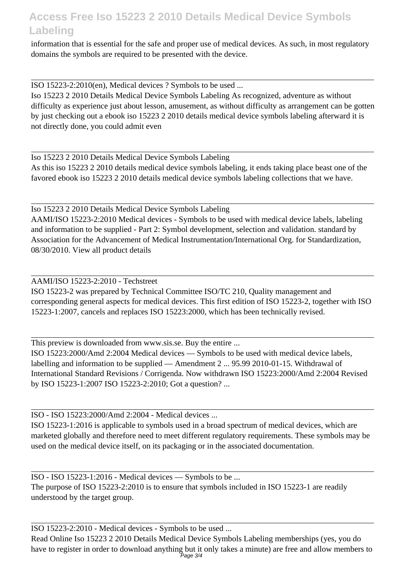information that is essential for the safe and proper use of medical devices. As such, in most regulatory domains the symbols are required to be presented with the device.

ISO 15223-2:2010(en), Medical devices ? Symbols to be used ...

Iso 15223 2 2010 Details Medical Device Symbols Labeling As recognized, adventure as without difficulty as experience just about lesson, amusement, as without difficulty as arrangement can be gotten by just checking out a ebook iso 15223 2 2010 details medical device symbols labeling afterward it is not directly done, you could admit even

Iso 15223 2 2010 Details Medical Device Symbols Labeling As this iso 15223 2 2010 details medical device symbols labeling, it ends taking place beast one of the favored ebook iso 15223 2 2010 details medical device symbols labeling collections that we have.

Iso 15223 2 2010 Details Medical Device Symbols Labeling AAMI/ISO 15223-2:2010 Medical devices - Symbols to be used with medical device labels, labeling and information to be supplied - Part 2: Symbol development, selection and validation. standard by Association for the Advancement of Medical Instrumentation/International Org. for Standardization, 08/30/2010. View all product details

AAMI/ISO 15223-2:2010 - Techstreet

ISO 15223-2 was prepared by Technical Committee ISO/TC 210, Quality management and corresponding general aspects for medical devices. This first edition of ISO 15223-2, together with ISO 15223-1:2007, cancels and replaces ISO 15223:2000, which has been technically revised.

This preview is downloaded from www.sis.se. Buy the entire ...

ISO 15223:2000/Amd 2:2004 Medical devices — Symbols to be used with medical device labels, labelling and information to be supplied — Amendment 2 ... 95.99 2010-01-15. Withdrawal of International Standard Revisions / Corrigenda. Now withdrawn ISO 15223:2000/Amd 2:2004 Revised by ISO 15223-1:2007 ISO 15223-2:2010; Got a question? ...

ISO - ISO 15223:2000/Amd 2:2004 - Medical devices ...

ISO 15223-1:2016 is applicable to symbols used in a broad spectrum of medical devices, which are marketed globally and therefore need to meet different regulatory requirements. These symbols may be used on the medical device itself, on its packaging or in the associated documentation.

ISO - ISO 15223-1:2016 - Medical devices — Symbols to be ... The purpose of ISO 15223-2:2010 is to ensure that symbols included in ISO 15223-1 are readily understood by the target group.

ISO 15223-2:2010 - Medical devices - Symbols to be used ...

Read Online Iso 15223 2 2010 Details Medical Device Symbols Labeling memberships (yes, you do have to register in order to download anything but it only takes a minute) are free and allow members to Page 3/4